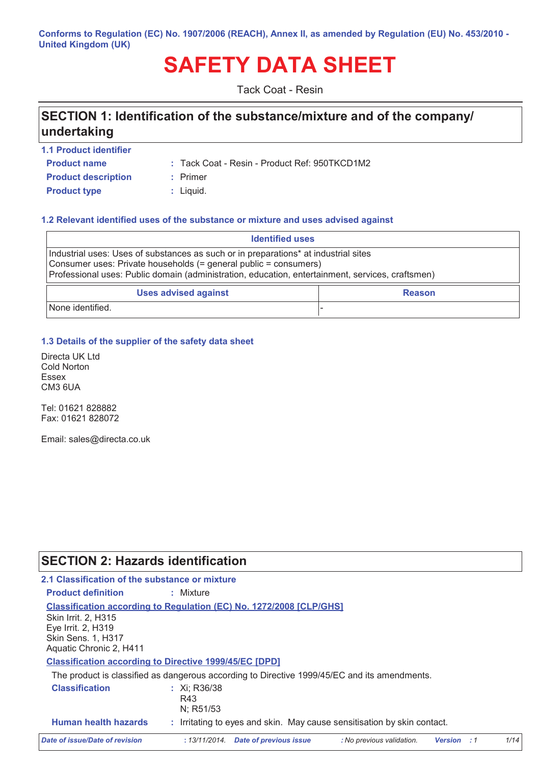Conforms to Regulation (EC) No. 1907/2006 (REACH), Annex II, as amended by Regulation (EU) No. 453/2010 -**United Kingdom (UK)** 

# **SAFETY DATA SHEET**

**Tack Coat - Resin** 

# SECTION 1: Identification of the substance/mixture and of the company/ undertaking

- 1.1 Product identifier **Product name**
- : Tack Coat Resin Product Ref: 950TKCD1M2
- **Product description Product type**
- 
- : Primer
	- : Liquid.

#### 1.2 Relevant identified uses of the substance or mixture and uses advised against

| <b>Identified uses</b>                                                                                                                                                                                                                                      |  |  |  |  |
|-------------------------------------------------------------------------------------------------------------------------------------------------------------------------------------------------------------------------------------------------------------|--|--|--|--|
| Industrial uses: Uses of substances as such or in preparations* at industrial sites<br>Consumer uses: Private households (= general public = consumers)<br>Professional uses: Public domain (administration, education, entertainment, services, craftsmen) |  |  |  |  |
| <b>Uses advised against</b><br><b>Reason</b>                                                                                                                                                                                                                |  |  |  |  |
| None identified.                                                                                                                                                                                                                                            |  |  |  |  |

1.3 Details of the supplier of the safety data sheet

Directa UK Ltd **Cold Norton Essex** CM3 6UA

Tel: 01621 828882 Fax: 01621 828072

Email: sales@directa.co.uk

## **SECTION 2: Hazards identification**

| 2.1 Classification of the substance or mixture                                                    |                                                                                              |                           |                    |      |
|---------------------------------------------------------------------------------------------------|----------------------------------------------------------------------------------------------|---------------------------|--------------------|------|
| <b>Product definition</b>                                                                         | : Mixture                                                                                    |                           |                    |      |
| Skin Irrit. 2, H315<br>Eye Irrit. 2, H319<br><b>Skin Sens. 1, H317</b><br>Aquatic Chronic 2, H411 | <b>Classification according to Regulation (EC) No. 1272/2008 [CLP/GHS]</b>                   |                           |                    |      |
|                                                                                                   | <b>Classification according to Directive 1999/45/EC [DPD]</b>                                |                           |                    |      |
|                                                                                                   | The product is classified as dangerous according to Directive 1999/45/EC and its amendments. |                           |                    |      |
| <b>Classification</b>                                                                             | : $Xi:$ R36/38<br>R43<br>N; R51/53                                                           |                           |                    |      |
| <b>Human health hazards</b>                                                                       | : Irritating to eyes and skin. May cause sensitisation by skin contact.                      |                           |                    |      |
| Date of issue/Date of revision                                                                    | Date of previous issue<br>: 13/11/2014.                                                      | : No previous validation. | <b>Version</b> : 1 | 1/14 |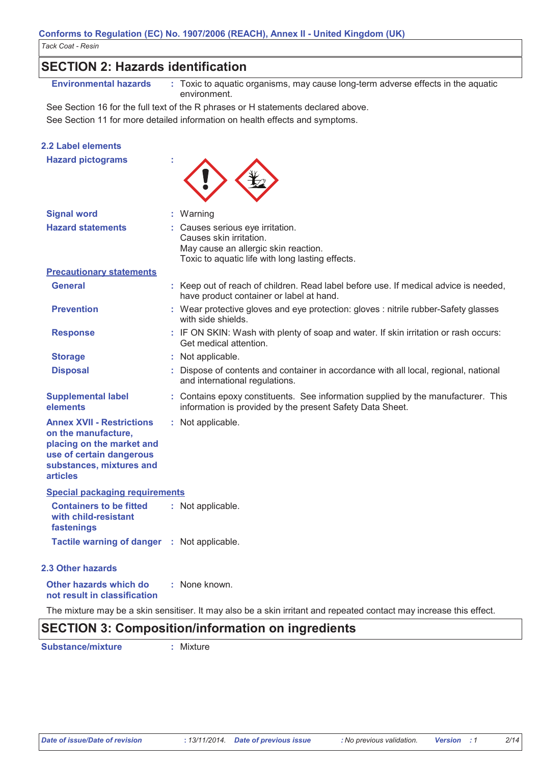| <b>SECTION 2: Hazards identification</b>                                                                                                                        |  |                                                                                                                                                |  |  |  |  |
|-----------------------------------------------------------------------------------------------------------------------------------------------------------------|--|------------------------------------------------------------------------------------------------------------------------------------------------|--|--|--|--|
| <b>Environmental hazards</b>                                                                                                                                    |  | : Toxic to aquatic organisms, may cause long-term adverse effects in the aquatic<br>environment.                                               |  |  |  |  |
|                                                                                                                                                                 |  | See Section 16 for the full text of the R phrases or H statements declared above.                                                              |  |  |  |  |
|                                                                                                                                                                 |  | See Section 11 for more detailed information on health effects and symptoms.                                                                   |  |  |  |  |
| <b>2.2 Label elements</b>                                                                                                                                       |  |                                                                                                                                                |  |  |  |  |
| <b>Hazard pictograms</b>                                                                                                                                        |  |                                                                                                                                                |  |  |  |  |
| <b>Signal word</b>                                                                                                                                              |  | : Warning                                                                                                                                      |  |  |  |  |
| <b>Hazard statements</b>                                                                                                                                        |  | Causes serious eye irritation.                                                                                                                 |  |  |  |  |
|                                                                                                                                                                 |  | Causes skin irritation.                                                                                                                        |  |  |  |  |
|                                                                                                                                                                 |  | May cause an allergic skin reaction.                                                                                                           |  |  |  |  |
| <b>Precautionary statements</b>                                                                                                                                 |  | Toxic to aquatic life with long lasting effects.                                                                                               |  |  |  |  |
| <b>General</b>                                                                                                                                                  |  | : Keep out of reach of children. Read label before use. If medical advice is needed,                                                           |  |  |  |  |
|                                                                                                                                                                 |  | have product container or label at hand.                                                                                                       |  |  |  |  |
| <b>Prevention</b>                                                                                                                                               |  | : Wear protective gloves and eye protection: gloves : nitrile rubber-Safety glasses<br>with side shields.                                      |  |  |  |  |
| <b>Response</b>                                                                                                                                                 |  | : IF ON SKIN: Wash with plenty of soap and water. If skin irritation or rash occurs:<br>Get medical attention.                                 |  |  |  |  |
| <b>Storage</b>                                                                                                                                                  |  | : Not applicable.                                                                                                                              |  |  |  |  |
| <b>Disposal</b>                                                                                                                                                 |  | Dispose of contents and container in accordance with all local, regional, national<br>and international regulations.                           |  |  |  |  |
| <b>Supplemental label</b><br>elements                                                                                                                           |  | : Contains epoxy constituents. See information supplied by the manufacturer. This<br>information is provided by the present Safety Data Sheet. |  |  |  |  |
| <b>Annex XVII - Restrictions</b><br>on the manufacture,<br>placing on the market and<br>use of certain dangerous<br>substances, mixtures and<br><b>articles</b> |  | : Not applicable.                                                                                                                              |  |  |  |  |
| <b>Special packaging requirements</b>                                                                                                                           |  |                                                                                                                                                |  |  |  |  |
| <b>Containers to be fitted</b><br>with child-resistant<br>fastenings                                                                                            |  | : Not applicable.                                                                                                                              |  |  |  |  |
| Tactile warning of danger : Not applicable.                                                                                                                     |  |                                                                                                                                                |  |  |  |  |
| 2.3 Other hazards                                                                                                                                               |  |                                                                                                                                                |  |  |  |  |
| Other hazards which do<br>not result in classification                                                                                                          |  | : None known.                                                                                                                                  |  |  |  |  |

The mixture may be a skin sensitiser. It may also be a skin irritant and repeated contact may increase this effect.

# **SECTION 3: Composition/information on ingredients**

**Substance/mixture** 

: Mixture

 $2/14$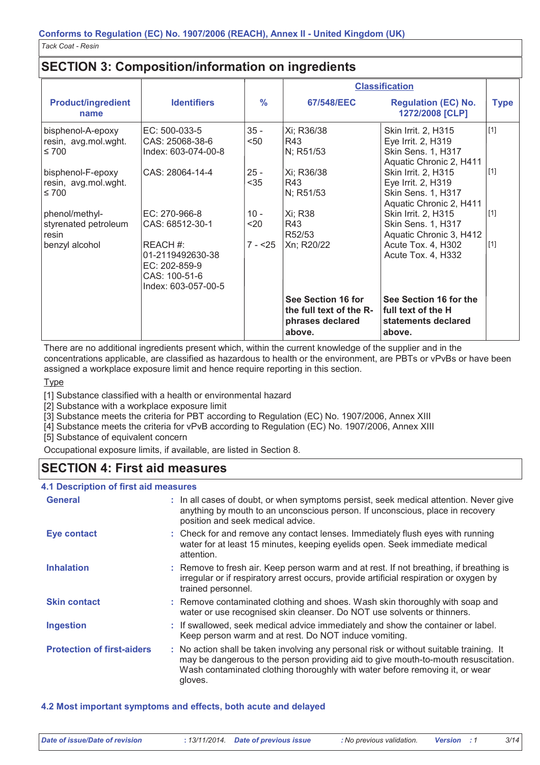# **SECTION 3: Composition/information on ingredients**

|                                                         |                                                                                       |                | <b>Classification</b>                                                       |                                                                                                   |             |
|---------------------------------------------------------|---------------------------------------------------------------------------------------|----------------|-----------------------------------------------------------------------------|---------------------------------------------------------------------------------------------------|-------------|
| <b>Product/ingredient</b><br>name                       | <b>Identifiers</b>                                                                    | $\frac{9}{6}$  | 67/548/EEC                                                                  | <b>Regulation (EC) No.</b><br>1272/2008 [CLP]                                                     | <b>Type</b> |
| bisphenol-A-epoxy<br>resin, avg.mol.wght.<br>$\leq 700$ | EC: 500-033-5<br>CAS: 25068-38-6<br>Index: 603-074-00-8                               | $35 -$<br>$50$ | Xi; R36/38<br>R43<br>N; R51/53                                              | Skin Irrit. 2, H315<br>Eye Irrit. 2, H319<br>Skin Sens. 1, H317<br>Aquatic Chronic 2, H411        | $[1]$       |
| bisphenol-F-epoxy<br>resin, avg.mol.wght.<br>$\leq 700$ | CAS: 28064-14-4                                                                       | $25 -$<br>$35$ | Xi; R36/38<br>R43<br>N; R51/53                                              | Skin Irrit. 2, H315<br>Eye Irrit. 2, H319<br><b>Skin Sens. 1, H317</b><br>Aquatic Chronic 2, H411 | $[1]$       |
| phenol/methyl-<br>styrenated petroleum<br>resin         | EC: 270-966-8<br>CAS: 68512-30-1                                                      | $10 -$<br>$20$ | Xi; R38<br>R43<br>R <sub>52</sub> /53                                       | Skin Irrit. 2, H315<br>Skin Sens. 1, H317<br>Aquatic Chronic 3, H412                              | $[1]$       |
| benzyl alcohol                                          | REACH #:<br>01-2119492630-38<br>EC: 202-859-9<br>CAS: 100-51-6<br>Index: 603-057-00-5 | $7 - 25$       | Xn; R20/22                                                                  | Acute Tox. 4, H302<br>Acute Tox. 4, H332                                                          | $[1]$       |
|                                                         |                                                                                       |                | See Section 16 for<br>the full text of the R-<br>phrases declared<br>above. | See Section 16 for the<br>l full text of the H<br>statements declared<br>above.                   |             |

There are no additional ingredients present which, within the current knowledge of the supplier and in the concentrations applicable, are classified as hazardous to health or the environment, are PBTs or vPvBs or have been assigned a workplace exposure limit and hence require reporting in this section.

**Type** 

[1] Substance classified with a health or environmental hazard

[2] Substance with a workplace exposure limit

[3] Substance meets the criteria for PBT according to Regulation (EC) No. 1907/2006, Annex XIII

[4] Substance meets the criteria for vPvB according to Regulation (EC) No. 1907/2006, Annex XIII

[5] Substance of equivalent concern

Occupational exposure limits, if available, are listed in Section 8.

# **SECTION 4: First aid measures**

#### **4.1 Description of first aid measures**

| <b>General</b>                    | : In all cases of doubt, or when symptoms persist, seek medical attention. Never give<br>anything by mouth to an unconscious person. If unconscious, place in recovery<br>position and seek medical advice.                                                              |
|-----------------------------------|--------------------------------------------------------------------------------------------------------------------------------------------------------------------------------------------------------------------------------------------------------------------------|
| Eye contact                       | : Check for and remove any contact lenses. Immediately flush eyes with running<br>water for at least 15 minutes, keeping eyelids open. Seek immediate medical<br>attention.                                                                                              |
| <b>Inhalation</b>                 | : Remove to fresh air. Keep person warm and at rest. If not breathing, if breathing is<br>irregular or if respiratory arrest occurs, provide artificial respiration or oxygen by<br>trained personnel.                                                                   |
| <b>Skin contact</b>               | : Remove contaminated clothing and shoes. Wash skin thoroughly with soap and<br>water or use recognised skin cleanser. Do NOT use solvents or thinners.                                                                                                                  |
| <b>Ingestion</b>                  | : If swallowed, seek medical advice immediately and show the container or label.<br>Keep person warm and at rest. Do NOT induce vomiting.                                                                                                                                |
| <b>Protection of first-aiders</b> | : No action shall be taken involving any personal risk or without suitable training. It<br>may be dangerous to the person providing aid to give mouth-to-mouth resuscitation.<br>Wash contaminated clothing thoroughly with water before removing it, or wear<br>gloves. |

4.2 Most important symptoms and effects, both acute and delayed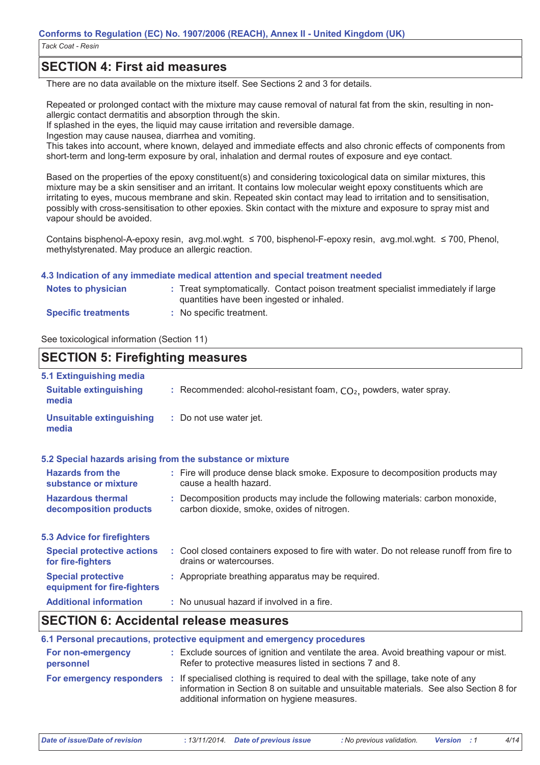## **SECTION 4: First aid measures**

There are no data available on the mixture itself. See Sections 2 and 3 for details.

Repeated or prolonged contact with the mixture may cause removal of natural fat from the skin, resulting in nonallergic contact dermatitis and absorption through the skin.

If splashed in the eves, the liquid may cause irritation and reversible damage.

Ingestion may cause nausea, diarrhea and vomiting.

This takes into account, where known, delayed and immediate effects and also chronic effects of components from short-term and long-term exposure by oral, inhalation and dermal routes of exposure and eye contact.

Based on the properties of the epoxy constituent(s) and considering toxicological data on similar mixtures, this mixture may be a skin sensitiser and an irritant. It contains low molecular weight epoxy constituents which are irritating to eyes, mucous membrane and skin. Repeated skin contact may lead to irritation and to sensitisation, possibly with cross-sensitisation to other epoxies. Skin contact with the mixture and exposure to spray mist and vapour should be avoided.

Contains bisphenol-A-epoxy resin, avg.mol.wght. ≤ 700, bisphenol-F-epoxy resin, avg.mol.wght. ≤ 700, Phenol, methylstyrenated. May produce an allergic reaction.

#### 4.3 Indication of any immediate medical attention and special treatment needed

| Notes to physician         | : Treat symptomatically. Contact poison treatment specialist immediately if large<br>quantities have been ingested or inhaled. |
|----------------------------|--------------------------------------------------------------------------------------------------------------------------------|
| <b>Specific treatments</b> | : No specific treatment.                                                                                                       |

See toxicological information (Section 11)

## **SECTION 5: Firefighting measures**

| 5.1 Extinguishing media                                   |                                                                                                                              |
|-----------------------------------------------------------|------------------------------------------------------------------------------------------------------------------------------|
| <b>Suitable extinguishing</b><br>media                    | : Recommended: alcohol-resistant foam, $CO2$ , powders, water spray.                                                         |
| <b>Unsuitable extinguishing</b><br>media                  | : Do not use water jet.                                                                                                      |
| 5.2 Special hazards arising from the substance or mixture |                                                                                                                              |
| <b>Hazards from the</b><br>substance or mixture           | : Fire will produce dense black smoke. Exposure to decomposition products may<br>cause a health hazard.                      |
| <b>Hazardous thermal</b><br>decomposition products        | : Decomposition products may include the following materials: carbon monoxide,<br>carbon dioxide, smoke, oxides of nitrogen. |
| 5.3 Advice for firefighters                               |                                                                                                                              |
| <b>Special protective actions</b><br>for fire-fighters    | : Cool closed containers exposed to fire with water. Do not release runoff from fire to<br>drains or watercourses.           |
| <b>Special protective</b><br>equipment for fire-fighters  | : Appropriate breathing apparatus may be required.                                                                           |
| <b>Additional information</b>                             | : No unusual hazard if involved in a fire.                                                                                   |
|                                                           |                                                                                                                              |

## **SECTION 6: Accidental release measures**

|                                | 6.1 Personal precautions, protective equipment and emergency procedures                                                                                                                                                                            |
|--------------------------------|----------------------------------------------------------------------------------------------------------------------------------------------------------------------------------------------------------------------------------------------------|
| For non-emergency<br>personnel | : Exclude sources of ignition and ventilate the area. Avoid breathing vapour or mist.<br>Refer to protective measures listed in sections 7 and 8.                                                                                                  |
|                                | For emergency responders : If specialised clothing is required to deal with the spillage, take note of any<br>information in Section 8 on suitable and unsuitable materials. See also Section 8 for<br>additional information on hygiene measures. |

**Date of issue/Date of revision** 

 $4/14$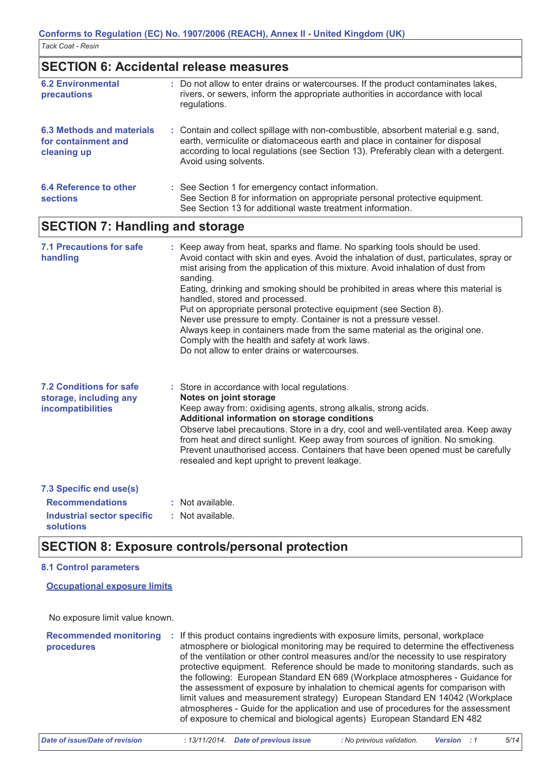## **SECTION 6: Accidental release measures**

| <b>6.2 Environmental</b><br>precautions                         | : Do not allow to enter drains or watercourses. If the product contaminates lakes,<br>rivers, or sewers, inform the appropriate authorities in accordance with local<br>regulations.                                                                                               |
|-----------------------------------------------------------------|------------------------------------------------------------------------------------------------------------------------------------------------------------------------------------------------------------------------------------------------------------------------------------|
| 6.3 Methods and materials<br>for containment and<br>cleaning up | : Contain and collect spillage with non-combustible, absorbent material e.g. sand,<br>earth, vermiculite or diatomaceous earth and place in container for disposal<br>according to local regulations (see Section 13). Preferably clean with a detergent.<br>Avoid using solvents. |
| 6.4 Reference to other<br><b>sections</b>                       | : See Section 1 for emergency contact information.<br>See Section 8 for information on appropriate personal protective equipment.<br>See Section 13 for additional waste treatment information.                                                                                    |

## **SECTION 7: Handling and storage**

| <b>7.1 Precautions for safe</b><br>handling                                          | : Keep away from heat, sparks and flame. No sparking tools should be used.<br>Avoid contact with skin and eyes. Avoid the inhalation of dust, particulates, spray or<br>mist arising from the application of this mixture. Avoid inhalation of dust from<br>sanding.<br>Eating, drinking and smoking should be prohibited in areas where this material is<br>handled, stored and processed.<br>Put on appropriate personal protective equipment (see Section 8).<br>Never use pressure to empty. Container is not a pressure vessel.<br>Always keep in containers made from the same material as the original one.<br>Comply with the health and safety at work laws.<br>Do not allow to enter drains or watercourses. |
|--------------------------------------------------------------------------------------|------------------------------------------------------------------------------------------------------------------------------------------------------------------------------------------------------------------------------------------------------------------------------------------------------------------------------------------------------------------------------------------------------------------------------------------------------------------------------------------------------------------------------------------------------------------------------------------------------------------------------------------------------------------------------------------------------------------------|
| <b>7.2 Conditions for safe</b><br>storage, including any<br><b>incompatibilities</b> | : Store in accordance with local regulations.<br>Notes on joint storage<br>Keep away from: oxidising agents, strong alkalis, strong acids.<br>Additional information on storage conditions<br>Observe label precautions. Store in a dry, cool and well-ventilated area. Keep away<br>from heat and direct sunlight. Keep away from sources of ignition. No smoking.<br>Prevent unauthorised access. Containers that have been opened must be carefully<br>resealed and kept upright to prevent leakage.                                                                                                                                                                                                                |
| 7.3 Specific end use(s)                                                              |                                                                                                                                                                                                                                                                                                                                                                                                                                                                                                                                                                                                                                                                                                                        |
| <b>Recommendations</b>                                                               | : Not available.                                                                                                                                                                                                                                                                                                                                                                                                                                                                                                                                                                                                                                                                                                       |
| <b>Industrial sector specific</b><br><b>solutions</b>                                | : Not available.                                                                                                                                                                                                                                                                                                                                                                                                                                                                                                                                                                                                                                                                                                       |

## **SECTION 8: Exposure controls/personal protection**

#### **8.1 Control parameters**

**Occupational exposure limits** 

No exposure limit value known.

Recommended monitoring : If this product contains ingredients with exposure limits, personal, workplace atmosphere or biological monitoring may be required to determine the effectiveness procedures of the ventilation or other control measures and/or the necessity to use respiratory protective equipment. Reference should be made to monitoring standards, such as the following: European Standard EN 689 (Workplace atmospheres - Guidance for the assessment of exposure by inhalation to chemical agents for comparison with limit values and measurement strategy) European Standard EN 14042 (Workplace atmospheres - Guide for the application and use of procedures for the assessment of exposure to chemical and biological agents) European Standard EN 482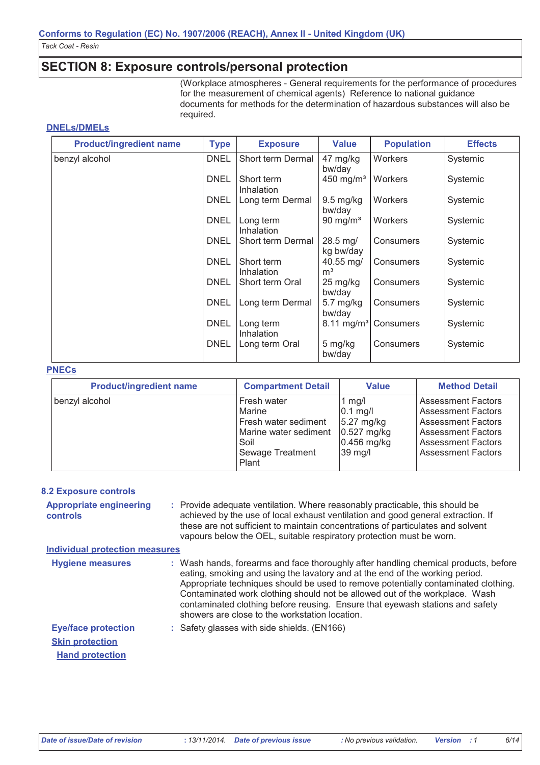## **SECTION 8: Exposure controls/personal protection**

(Workplace atmospheres - General requirements for the performance of procedures for the measurement of chemical agents) Reference to national guidance documents for methods for the determination of hazardous substances will also be required.

#### **DNELS/DMELS**

| <b>Product/ingredient name</b> | <b>Type</b> | <b>Exposure</b>          | <b>Value</b>                      | <b>Population</b> | <b>Effects</b> |
|--------------------------------|-------------|--------------------------|-----------------------------------|-------------------|----------------|
| benzyl alcohol                 | <b>DNEL</b> | Short term Dermal        | 47 mg/kg<br>bw/day                | Workers           | Systemic       |
|                                | <b>DNEL</b> | Short term<br>Inhalation | $450$ mg/m <sup>3</sup>           | <b>Workers</b>    | Systemic       |
|                                | <b>DNEL</b> | Long term Dermal         | $9.5$ mg/kg<br>bw/day             | Workers           | Systemic       |
|                                | <b>DNEL</b> | Long term<br>Inhalation  | 90 mg/m <sup>3</sup>              | <b>Workers</b>    | Systemic       |
|                                | <b>DNEL</b> | Short term Dermal        | $28.5 \,\mathrm{mg}$<br>kg bw/day | Consumers         | Systemic       |
|                                | <b>DNEL</b> | Short term<br>Inhalation | 40.55 mg/<br>m <sup>3</sup>       | Consumers         | Systemic       |
|                                | <b>DNEL</b> | Short term Oral          | 25 mg/kg<br>bw/day                | Consumers         | Systemic       |
|                                | <b>DNEL</b> | Long term Dermal         | $5.7$ mg/kg<br>bw/day             | Consumers         | Systemic       |
|                                | <b>DNEL</b> | Long term<br>Inhalation  | $8.11 \text{ mg/m}^3$             | Consumers         | Systemic       |
|                                | <b>DNEL</b> | Long term Oral           | 5 mg/kg<br>bw/day                 | Consumers         | Systemic       |

#### **PNECs**

| <b>Product/ingredient name</b> | <b>Compartment Detail</b>                                                                                   | <b>Value</b>                                                                      | <b>Method Detail</b>                                                                                                                                                       |
|--------------------------------|-------------------------------------------------------------------------------------------------------------|-----------------------------------------------------------------------------------|----------------------------------------------------------------------------------------------------------------------------------------------------------------------------|
| benzyl alcohol                 | Fresh water<br>Marine<br>Fresh water sediment<br>Marine water sediment<br>Soil<br>Sewage Treatment<br>Plant | $1$ mg/l<br>$0.1$ mg/l<br>5.27 mg/kg<br>$0.527$ mg/kg<br>$0.456$ mg/kg<br>39 mg/l | <b>Assessment Factors</b><br><b>Assessment Factors</b><br><b>Assessment Factors</b><br><b>Assessment Factors</b><br><b>Assessment Factors</b><br><b>Assessment Factors</b> |

#### **8.2 Exposure controls**

**Appropriate engineering** : Provide adequate ventilation. Where reasonably practicable, this should be achieved by the use of local exhaust ventilation and good general extraction. If controls these are not sufficient to maintain concentrations of particulates and solvent vapours below the OEL, suitable respiratory protection must be worn.

#### **Individual protection measures**

| <b>Hygiene measures</b>    | : Wash hands, forearms and face thoroughly after handling chemical products, before<br>eating, smoking and using the lavatory and at the end of the working period.<br>Appropriate techniques should be used to remove potentially contaminated clothing.<br>Contaminated work clothing should not be allowed out of the workplace. Wash<br>contaminated clothing before reusing. Ensure that eyewash stations and safety<br>showers are close to the workstation location. |
|----------------------------|-----------------------------------------------------------------------------------------------------------------------------------------------------------------------------------------------------------------------------------------------------------------------------------------------------------------------------------------------------------------------------------------------------------------------------------------------------------------------------|
| <b>Eye/face protection</b> | : Safety glasses with side shields. (EN166)                                                                                                                                                                                                                                                                                                                                                                                                                                 |
| <b>Skin protection</b>     |                                                                                                                                                                                                                                                                                                                                                                                                                                                                             |
| <b>Hand protection</b>     |                                                                                                                                                                                                                                                                                                                                                                                                                                                                             |

 $6/14$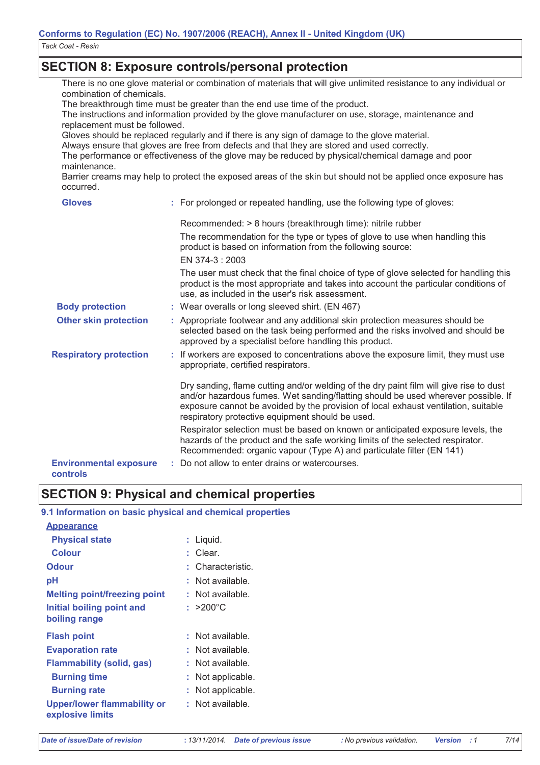## **SECTION 8: Exposure controls/personal protection**

There is no one glove material or combination of materials that will give unlimited resistance to any individual or combination of chemicals.

The breakthrough time must be greater than the end use time of the product.

The instructions and information provided by the glove manufacturer on use, storage, maintenance and replacement must be followed.

Gloves should be replaced regularly and if there is any sign of damage to the glove material.

Always ensure that gloves are free from defects and that they are stored and used correctly.

The performance or effectiveness of the glove may be reduced by physical/chemical damage and poor maintenance.

Barrier creams may help to protect the exposed areas of the skin but should not be applied once exposure has occurred.

| <b>Gloves</b>                             | : For prolonged or repeated handling, use the following type of gloves:                                                                                                                                                                                                                                               |
|-------------------------------------------|-----------------------------------------------------------------------------------------------------------------------------------------------------------------------------------------------------------------------------------------------------------------------------------------------------------------------|
|                                           | Recommended: > 8 hours (breakthrough time): nitrile rubber<br>The recommendation for the type or types of glove to use when handling this<br>product is based on information from the following source:<br>EN 374-3: 2003                                                                                             |
|                                           | The user must check that the final choice of type of glove selected for handling this<br>product is the most appropriate and takes into account the particular conditions of<br>use, as included in the user's risk assessment.                                                                                       |
| <b>Body protection</b>                    | : Wear overalls or long sleeved shirt. (EN 467)                                                                                                                                                                                                                                                                       |
| <b>Other skin protection</b>              | : Appropriate footwear and any additional skin protection measures should be<br>selected based on the task being performed and the risks involved and should be<br>approved by a specialist before handling this product.                                                                                             |
| <b>Respiratory protection</b>             | : If workers are exposed to concentrations above the exposure limit, they must use<br>appropriate, certified respirators.                                                                                                                                                                                             |
|                                           | Dry sanding, flame cutting and/or welding of the dry paint film will give rise to dust<br>and/or hazardous fumes. Wet sanding/flatting should be used wherever possible. If<br>exposure cannot be avoided by the provision of local exhaust ventilation, suitable<br>respiratory protective equipment should be used. |
|                                           | Respirator selection must be based on known or anticipated exposure levels, the<br>hazards of the product and the safe working limits of the selected respirator.<br>Recommended: organic vapour (Type A) and particulate filter (EN 141)                                                                             |
| <b>Environmental exposure</b><br>controls | Do not allow to enter drains or watercourses.                                                                                                                                                                                                                                                                         |

## **SECTION 9: Physical and chemical properties**

#### 9.1 Information on basic physical and chemical properties

| <b>Appearance</b>                               |                    |
|-------------------------------------------------|--------------------|
| <b>Physical state</b>                           | : Liquid.          |
| Colour                                          | : Clear.           |
| <b>Odour</b>                                    | : Characteristic.  |
| рH                                              | : Not available.   |
| <b>Melting point/freezing point</b>             | : Not available.   |
| Initial boiling point and                       | : $>200^{\circ}$ C |
| boiling range                                   |                    |
|                                                 |                    |
| <b>Flash point</b>                              | : Not available.   |
| <b>Evaporation rate</b>                         | : Not available.   |
| <b>Flammability (solid, gas)</b>                | Not available.     |
| <b>Burning time</b>                             | : Not applicable.  |
| <b>Burning rate</b>                             | Not applicable.    |
| Upper/lower flammability or<br>explosive limits | : Not available.   |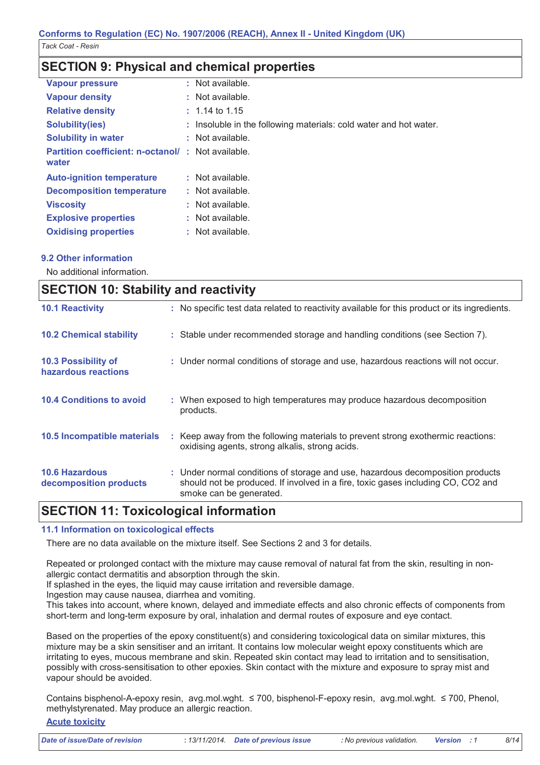## **SECTION 9: Physical and chemical properties**

| <b>Vapour pressure</b>                                            | $:$ Not available.                                                |
|-------------------------------------------------------------------|-------------------------------------------------------------------|
| <b>Vapour density</b>                                             | : Not available.                                                  |
| <b>Relative density</b>                                           | $: 1.14$ to 1.15                                                  |
| <b>Solubility(ies)</b>                                            | : Insoluble in the following materials: cold water and hot water. |
| <b>Solubility in water</b>                                        | $:$ Not available.                                                |
| <b>Partition coefficient: n-octanol/: Not available.</b><br>water |                                                                   |
| <b>Auto-ignition temperature</b>                                  | $:$ Not available.                                                |
| <b>Decomposition temperature</b>                                  | $:$ Not available.                                                |
| <b>Viscosity</b>                                                  | : Not available.                                                  |
| <b>Explosive properties</b>                                       | $:$ Not available.                                                |
| <b>Oxidising properties</b>                                       | : Not available.                                                  |

## 9.2 Other information

No additional information.

| <b>SECTION 10: Stability and reactivity</b>     |                                                                                                                                                                                               |
|-------------------------------------------------|-----------------------------------------------------------------------------------------------------------------------------------------------------------------------------------------------|
| <b>10.1 Reactivity</b>                          | : No specific test data related to reactivity available for this product or its ingredients.                                                                                                  |
| <b>10.2 Chemical stability</b>                  | : Stable under recommended storage and handling conditions (see Section 7).                                                                                                                   |
| 10.3 Possibility of<br>hazardous reactions      | : Under normal conditions of storage and use, hazardous reactions will not occur.                                                                                                             |
| <b>10.4 Conditions to avoid</b>                 | : When exposed to high temperatures may produce hazardous decomposition<br>products.                                                                                                          |
| 10.5 Incompatible materials                     | : Keep away from the following materials to prevent strong exothermic reactions:<br>oxidising agents, strong alkalis, strong acids.                                                           |
| <b>10.6 Hazardous</b><br>decomposition products | : Under normal conditions of storage and use, hazardous decomposition products<br>should not be produced. If involved in a fire, toxic gases including CO, CO2 and<br>smoke can be generated. |
|                                                 |                                                                                                                                                                                               |

## **SECTION 11: Toxicological information**

#### 11.1 Information on toxicological effects

There are no data available on the mixture itself. See Sections 2 and 3 for details.

Repeated or prolonged contact with the mixture may cause removal of natural fat from the skin, resulting in nonallergic contact dermatitis and absorption through the skin.

If splashed in the eyes, the liquid may cause irritation and reversible damage.

Ingestion may cause nausea, diarrhea and vomiting.

This takes into account, where known, delayed and immediate effects and also chronic effects of components from short-term and long-term exposure by oral, inhalation and dermal routes of exposure and eye contact.

Based on the properties of the epoxy constituent(s) and considering toxicological data on similar mixtures, this mixture may be a skin sensitiser and an irritant. It contains low molecular weight epoxy constituents which are irritating to eyes, mucous membrane and skin. Repeated skin contact may lead to irritation and to sensitisation, possibly with cross-sensitisation to other epoxies. Skin contact with the mixture and exposure to spray mist and vapour should be avoided.

Contains bisphenol-A-epoxy resin, avg.mol.wght. ≤ 700, bisphenol-F-epoxy resin, avg.mol.wght. ≤ 700, Phenol, methylstyrenated. May produce an allergic reaction.

## **Acute toxicity**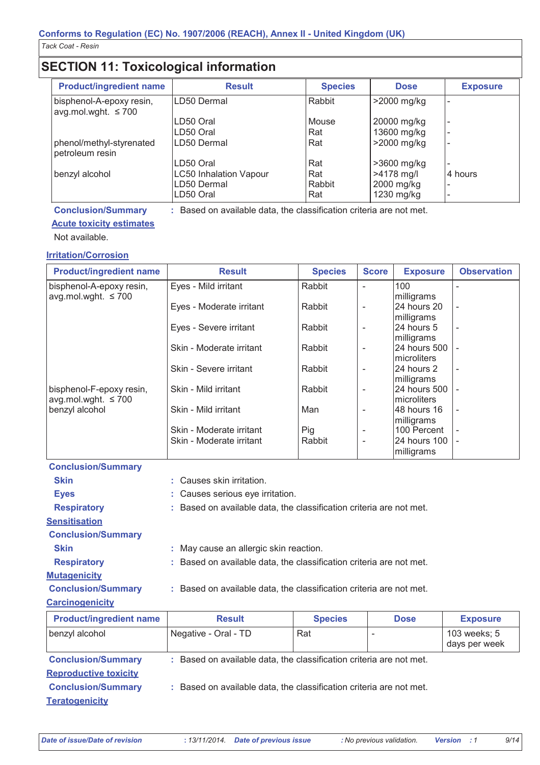# **SECTION 11: Toxicological information**

| <b>Product/ingredient name</b>                       | <b>Result</b>                 | <b>Species</b> | <b>Dose</b>  | <b>Exposure</b> |
|------------------------------------------------------|-------------------------------|----------------|--------------|-----------------|
| bisphenol-A-epoxy resin,<br>$avg.mol.wght. \leq 700$ | LD50 Dermal                   | Rabbit         | >2000 mg/kg  |                 |
|                                                      | LD50 Oral                     | Mouse          | 20000 mg/kg  | -               |
|                                                      | LD50 Oral                     | Rat            | 13600 mg/kg  | -               |
| phenol/methyl-styrenated<br>petroleum resin          | LD50 Dermal                   | Rat            | >2000 mg/kg  | -               |
|                                                      | LD50 Oral                     | Rat            | >3600 mg/kg  |                 |
| benzyl alcohol                                       | <b>LC50 Inhalation Vapour</b> | Rat            | $>4178$ mg/l | 4 hours         |
|                                                      | LD50 Dermal                   | Rabbit         | 2000 mg/kg   |                 |
|                                                      | LD50 Oral                     | Rat            | 1230 mg/kg   |                 |

: Based on available data, the classification criteria are not met.

## **Conclusion/Summary**

## **Acute toxicity estimates**

Not available.

## **Irritation/Corrosion**

| <b>Product/ingredient name</b>    | <b>Result</b>            | <b>Species</b> | <b>Score</b>             | <b>Exposure</b>     | <b>Observation</b> |
|-----------------------------------|--------------------------|----------------|--------------------------|---------------------|--------------------|
| bisphenol-A-epoxy resin,          | Eyes - Mild irritant     | Rabbit         |                          | 100                 |                    |
| avg.mol.wght. $\leq 700$          |                          |                |                          | milligrams          |                    |
|                                   | Eyes - Moderate irritant | Rabbit         |                          | 24 hours 20         |                    |
|                                   |                          |                |                          | milligrams          |                    |
|                                   | Eyes - Severe irritant   | Rabbit         |                          | 24 hours 5          |                    |
|                                   |                          |                |                          | milligrams          |                    |
|                                   | Skin - Moderate irritant | Rabbit         |                          | 24 hours 500        |                    |
|                                   |                          |                |                          | microliters         |                    |
|                                   | Skin - Severe irritant   | Rabbit         |                          | 24 hours 2          |                    |
|                                   |                          |                |                          | milligrams          |                    |
| bisphenol-F-epoxy resin,          | Skin - Mild irritant     | Rabbit         |                          | 24 hours 500        |                    |
| $\alpha$ avg.mol.wght. $\leq 700$ |                          |                |                          | microliters         |                    |
| benzyl alcohol                    | Skin - Mild irritant     | Man            |                          | 148 hours 16        |                    |
|                                   |                          |                |                          | milligrams          |                    |
|                                   | Skin - Moderate irritant | Pig            |                          | 100 Percent         |                    |
|                                   | Skin - Moderate irritant | Rabbit         | $\overline{\phantom{a}}$ | <b>24 hours 100</b> |                    |
|                                   |                          |                |                          | milligrams          |                    |

| : Causes skin irritation. |                |                                                                            |                                                                                                                                                                                                                   |  |  |
|---------------------------|----------------|----------------------------------------------------------------------------|-------------------------------------------------------------------------------------------------------------------------------------------------------------------------------------------------------------------|--|--|
|                           |                |                                                                            |                                                                                                                                                                                                                   |  |  |
|                           |                |                                                                            |                                                                                                                                                                                                                   |  |  |
|                           |                |                                                                            |                                                                                                                                                                                                                   |  |  |
|                           |                |                                                                            |                                                                                                                                                                                                                   |  |  |
|                           |                |                                                                            |                                                                                                                                                                                                                   |  |  |
|                           |                |                                                                            |                                                                                                                                                                                                                   |  |  |
|                           |                |                                                                            |                                                                                                                                                                                                                   |  |  |
|                           |                |                                                                            |                                                                                                                                                                                                                   |  |  |
|                           |                |                                                                            |                                                                                                                                                                                                                   |  |  |
| <b>Result</b>             | <b>Species</b> | <b>Dose</b>                                                                | <b>Exposure</b>                                                                                                                                                                                                   |  |  |
|                           |                | : Causes serious eye irritation.<br>: May cause an allergic skin reaction. | : Based on available data, the classification criteria are not met.<br>: Based on available data, the classification criteria are not met.<br>: Based on available data, the classification criteria are not met. |  |  |

| benzyl alcohol               | Negative - Oral - TD                                                | Rat | 103 weeks; 5<br>days per week |
|------------------------------|---------------------------------------------------------------------|-----|-------------------------------|
| <b>Conclusion/Summary</b>    | : Based on available data, the classification criteria are not met. |     |                               |
| <b>Reproductive toxicity</b> |                                                                     |     |                               |
| <b>Conclusion/Summary</b>    | : Based on available data, the classification criteria are not met. |     |                               |
| <b>Teratogenicity</b>        |                                                                     |     |                               |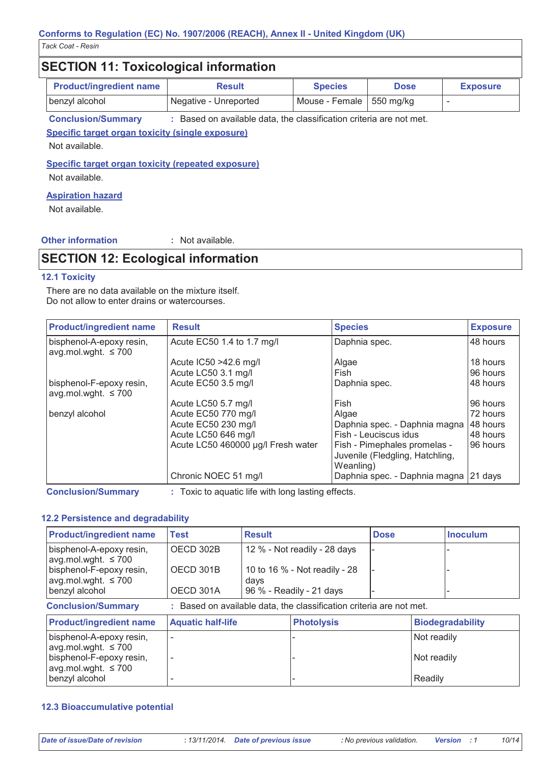# **SECTION 11: Toxicological information**

| <b>Product/ingredient name</b> | <b>Result</b>         | <b>Species</b>             | <b>Dose</b> | <b>Exposure</b> |
|--------------------------------|-----------------------|----------------------------|-------------|-----------------|
| benzyl alcohol                 | Negative - Unreported | Mouse - Female   550 mg/kg |             |                 |

**Conclusion/Summary** : Based on available data, the classification criteria are not met.

Specific target organ toxicity (single exposure)

Not available.

Specific target organ toxicity (repeated exposure)

Not available.

## **Aspiration hazard**

Not available.

## **Other information**

: Not available.

# **SECTION 12: Ecological information**

## **12.1 Toxicity**

There are no data available on the mixture itself. Do not allow to enter drains or watercourses.

| <b>Product/ingredient name</b>                       | <b>Result</b>                      | <b>Species</b>                                                               | <b>Exposure</b> |
|------------------------------------------------------|------------------------------------|------------------------------------------------------------------------------|-----------------|
| bisphenol-A-epoxy resin,<br>avg.mol.wght. $\leq 700$ | Acute EC50 1.4 to 1.7 mg/l         | Daphnia spec.                                                                | 48 hours        |
|                                                      | Acute IC50 >42.6 mg/l              | Algae                                                                        | 18 hours        |
|                                                      | Acute LC50 3.1 mg/l                | Fish                                                                         | 96 hours        |
| bisphenol-F-epoxy resin,<br>avg.mol.wght. $\leq 700$ | Acute EC50 3.5 mg/l                | Daphnia spec.                                                                | 48 hours        |
|                                                      | Acute LC50 5.7 mg/l                | Fish                                                                         | 96 hours        |
| benzyl alcohol                                       | Acute EC50 770 mg/l                | Algae                                                                        | 72 hours        |
|                                                      | Acute EC50 230 mg/l                | Daphnia spec. - Daphnia magna                                                | 48 hours        |
|                                                      | Acute LC50 646 mg/l                | Fish - Leuciscus idus                                                        | 48 hours        |
|                                                      | Acute LC50 460000 µg/l Fresh water | Fish - Pimephales promelas -<br>Juvenile (Fledgling, Hatchling,<br>Weanling) | 96 hours        |
|                                                      | Chronic NOEC 51 mg/l               | Daphnia spec. - Daphnia magna                                                | 21 days         |

**Conclusion/Summary** 

: Toxic to aquatic life with long lasting effects.

#### 12.2 Persistence and degradability

| <b>Product/ingredient name</b>                                                                   | <b>Test</b><br><b>Result</b> |                                                                                                   |                   | <b>Dose</b> |             | <b>Inoculum</b>         |
|--------------------------------------------------------------------------------------------------|------------------------------|---------------------------------------------------------------------------------------------------|-------------------|-------------|-------------|-------------------------|
| bisphenol-A-epoxy resin,<br>avg.mol.wght. $\leq 700$                                             | OECD 302B                    | 12 % - Not readily - 28 days<br>10 to 16 % - Not readily - 28<br>days<br>96 % - Readily - 21 days |                   |             |             |                         |
| bisphenol-F-epoxy resin,<br>avg.mol.wght. $\leq 700$                                             | OECD 301B                    |                                                                                                   |                   |             |             |                         |
| benzyl alcohol                                                                                   | OECD 301A                    |                                                                                                   |                   |             |             |                         |
| <b>Conclusion/Summary</b><br>: Based on available data, the classification criteria are not met. |                              |                                                                                                   |                   |             |             |                         |
| <b>Product/ingredient name</b>                                                                   | <b>Aquatic half-life</b>     |                                                                                                   | <b>Photolysis</b> |             |             | <b>Biodegradability</b> |
| bisphenol-A-epoxy resin,                                                                         |                              |                                                                                                   |                   |             | Not readily |                         |
| avg.mol.wght. $\leq 700$<br>bisphenol-F-epoxy resin,<br>avg.mol.wght. $\leq 700$                 |                              |                                                                                                   |                   |             |             | Not readily             |
| benzyl alcohol                                                                                   |                              |                                                                                                   |                   |             | Readily     |                         |

## **12.3 Bioaccumulative potential**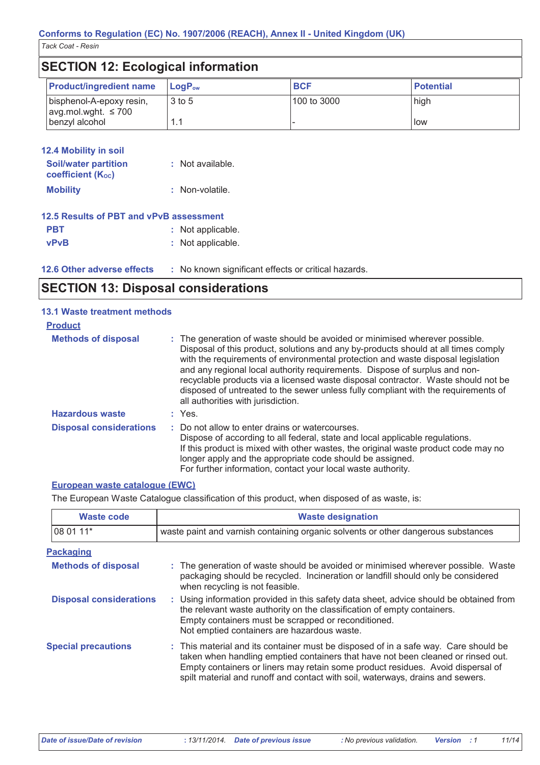| <b>SECTION 12: Ecological information</b>            |                                                     |                          |                  |
|------------------------------------------------------|-----------------------------------------------------|--------------------------|------------------|
| <b>Product/ingredient name</b>                       | LogP <sub>ow</sub>                                  | <b>BCF</b>               | <b>Potential</b> |
| bisphenol-A-epoxy resin,<br>avg.mol.wght. $\leq 700$ | 3 to 5                                              | 100 to 3000              | high             |
| benzyl alcohol                                       | 1.1                                                 | $\overline{\phantom{0}}$ | low              |
|                                                      |                                                     |                          |                  |
| <b>12.4 Mobility in soil</b>                         |                                                     |                          |                  |
| <b>Soil/water partition</b><br>coefficient (Koc)     | : Not available.                                    |                          |                  |
| <b>Mobility</b>                                      | : Non-volatile.                                     |                          |                  |
| 12.5 Results of PBT and vPvB assessment              |                                                     |                          |                  |
| <b>PBT</b>                                           | : Not applicable.                                   |                          |                  |
| <b>vPvB</b>                                          | : Not applicable.                                   |                          |                  |
| 12.6 Other adverse effects                           | : No known significant effects or critical hazards. |                          |                  |

# **SECTION 13: Disposal considerations**

| <b>13.1 Waste treatment methods</b> |                                                                                                                                                                                                                                                                                                                                                                                                                                                                                                                                                      |
|-------------------------------------|------------------------------------------------------------------------------------------------------------------------------------------------------------------------------------------------------------------------------------------------------------------------------------------------------------------------------------------------------------------------------------------------------------------------------------------------------------------------------------------------------------------------------------------------------|
| <b>Product</b>                      |                                                                                                                                                                                                                                                                                                                                                                                                                                                                                                                                                      |
| <b>Methods of disposal</b>          | : The generation of waste should be avoided or minimised wherever possible.<br>Disposal of this product, solutions and any by-products should at all times comply<br>with the requirements of environmental protection and waste disposal legislation<br>and any regional local authority requirements. Dispose of surplus and non-<br>recyclable products via a licensed waste disposal contractor. Waste should not be<br>disposed of untreated to the sewer unless fully compliant with the requirements of<br>all authorities with jurisdiction. |
| <b>Hazardous waste</b>              | $:$ Yes.                                                                                                                                                                                                                                                                                                                                                                                                                                                                                                                                             |
| <b>Disposal considerations</b>      | : Do not allow to enter drains or watercourses.<br>Dispose of according to all federal, state and local applicable regulations.<br>If this product is mixed with other wastes, the original waste product code may no<br>longer apply and the appropriate code should be assigned.<br>For further information, contact your local waste authority.                                                                                                                                                                                                   |

## European waste catalogue (EWC)

The European Waste Catalogue classification of this product, when disposed of as waste, is:

| <b>Waste code</b>              | <b>Waste designation</b>                                                                                                                                                                                                                                                                                                                     |  |
|--------------------------------|----------------------------------------------------------------------------------------------------------------------------------------------------------------------------------------------------------------------------------------------------------------------------------------------------------------------------------------------|--|
| 08 01 11*                      | waste paint and varnish containing organic solvents or other dangerous substances                                                                                                                                                                                                                                                            |  |
| <b>Packaging</b>               |                                                                                                                                                                                                                                                                                                                                              |  |
| <b>Methods of disposal</b>     | : The generation of waste should be avoided or minimised wherever possible. Waste<br>packaging should be recycled. Incineration or landfill should only be considered<br>when recycling is not feasible.                                                                                                                                     |  |
| <b>Disposal considerations</b> | : Using information provided in this safety data sheet, advice should be obtained from<br>the relevant waste authority on the classification of empty containers.<br>Empty containers must be scrapped or reconditioned.<br>Not emptied containers are hazardous waste.                                                                      |  |
| <b>Special precautions</b>     | : This material and its container must be disposed of in a safe way. Care should be<br>taken when handling emptied containers that have not been cleaned or rinsed out.<br>Empty containers or liners may retain some product residues. Avoid dispersal of<br>spilt material and runoff and contact with soil, waterways, drains and sewers. |  |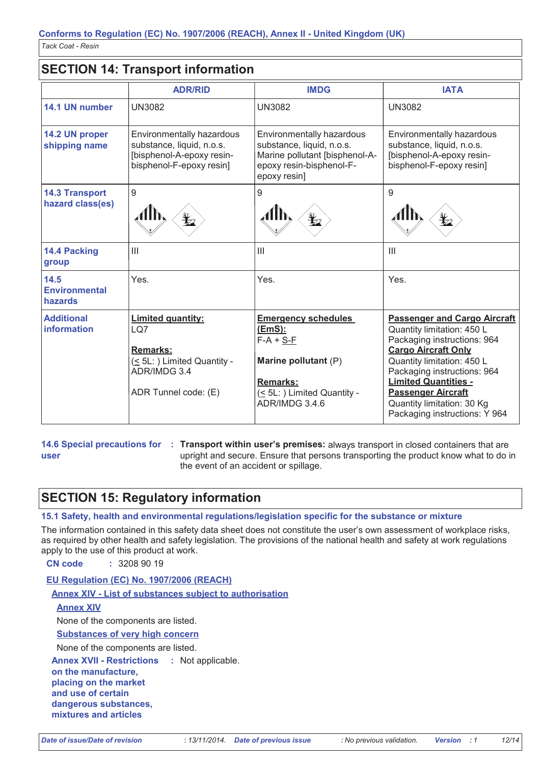# **SECTION 14: Transport information**

|                                           | <b>ADR/RID</b>                                                                                                               | <b>IMDG</b>                                                                                                                                            | <b>IATA</b>                                                                                                                                                                                                                                                                                                            |
|-------------------------------------------|------------------------------------------------------------------------------------------------------------------------------|--------------------------------------------------------------------------------------------------------------------------------------------------------|------------------------------------------------------------------------------------------------------------------------------------------------------------------------------------------------------------------------------------------------------------------------------------------------------------------------|
| 14.1 UN number                            | <b>UN3082</b>                                                                                                                | <b>UN3082</b>                                                                                                                                          | <b>UN3082</b>                                                                                                                                                                                                                                                                                                          |
| 14.2 UN proper<br>shipping name           | Environmentally hazardous<br>substance, liquid, n.o.s.<br>[bisphenol-A-epoxy resin-<br>bisphenol-F-epoxy resin]              | Environmentally hazardous<br>substance, liquid, n.o.s.<br>Marine pollutant [bisphenol-A-<br>epoxy resin-bisphenol-F-<br>epoxy resin]                   | Environmentally hazardous<br>substance, liquid, n.o.s.<br>[bisphenol-A-epoxy resin-<br>bisphenol-F-epoxy resin]                                                                                                                                                                                                        |
| <b>14.3 Transport</b><br>hazard class(es) | 9                                                                                                                            | 9                                                                                                                                                      | 9                                                                                                                                                                                                                                                                                                                      |
| 14.4 Packing<br>group                     | $\mathbf{III}$                                                                                                               | $\mathbf{III}$                                                                                                                                         | $\mathbf{III}$                                                                                                                                                                                                                                                                                                         |
| 14.5<br><b>Environmental</b><br>hazards   | Yes.                                                                                                                         | Yes.                                                                                                                                                   | Yes.                                                                                                                                                                                                                                                                                                                   |
| <b>Additional</b><br><b>information</b>   | <b>Limited quantity:</b><br>LQ7<br><b>Remarks:</b><br>$(< 5L$ : ) Limited Quantity -<br>ADR/IMDG 3.4<br>ADR Tunnel code: (E) | <b>Emergency schedules</b><br><u>(EmS):</u><br>$F-A + S-F$<br>Marine pollutant (P)<br><b>Remarks:</b><br>(< 5L: ) Limited Quantity -<br>ADR/IMDG 3.4.6 | <b>Passenger and Cargo Aircraft</b><br>Quantity limitation: 450 L<br>Packaging instructions: 964<br><b>Cargo Aircraft Only</b><br>Quantity limitation: 450 L<br>Packaging instructions: 964<br><b>Limited Quantities -</b><br><b>Passenger Aircraft</b><br>Quantity limitation: 30 Kg<br>Packaging instructions: Y 964 |

user

14.6 Special precautions for : Transport within user's premises: always transport in closed containers that are upright and secure. Ensure that persons transporting the product know what to do in the event of an accident or spillage.

# **SECTION 15: Regulatory information**

15.1 Safety, health and environmental regulations/legislation specific for the substance or mixture

The information contained in this safety data sheet does not constitute the user's own assessment of workplace risks, as required by other health and safety legislation. The provisions of the national health and safety at work regulations apply to the use of this product at work.

CN code  $: 32089019$ 

## EU Regulation (EC) No. 1907/2006 (REACH)

Annex XIV - List of substances subject to authorisation

#### **Annex XIV**

None of the components are listed.

**Substances of very high concern** 

None of the components are listed.

**Annex XVII - Restrictions** : Not applicable.

on the manufacture, placing on the market and use of certain dangerous substances. mixtures and articles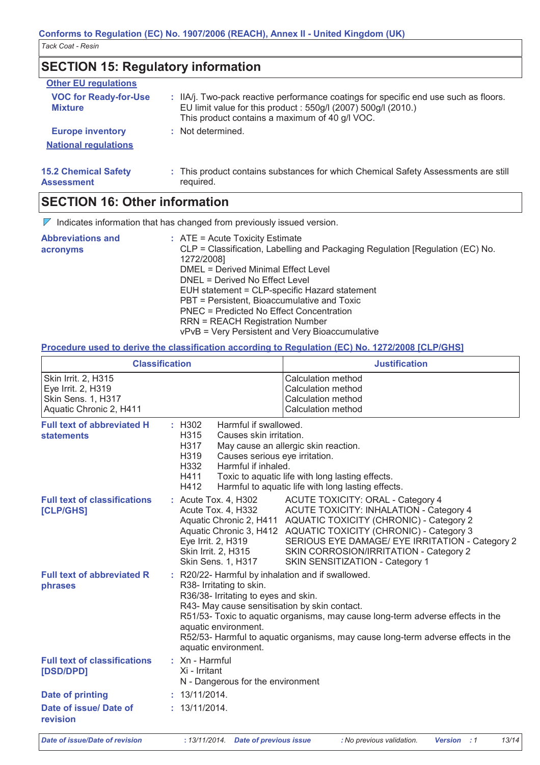**SECTION 15: Regulatory information Other EU regulations VOC for Readv-for-Use** : IIA/j. Two-pack reactive performance coatings for specific end use such as floors. **Mixture** EU limit value for this product: 550g/l (2007) 500g/l (2010.) This product contains a maximum of 40 g/l VOC. **Europe inventory** : Not determined. **National requlations 15.2 Chemical Safety** : This product contains substances for which Chemical Safety Assessments are still required. **Assessment** 

# **SECTION 16: Other information**

 $\nabla$  Indicates information that has changed from previously issued version.

| <b>Abbreviations and</b><br>acronyms | $\therefore$ ATE = Acute Toxicity Estimate<br>CLP = Classification, Labelling and Packaging Regulation [Regulation (EC) No.<br>1272/2008]<br><b>DMEL = Derived Minimal Effect Level</b> |
|--------------------------------------|-----------------------------------------------------------------------------------------------------------------------------------------------------------------------------------------|
|                                      | DNEL = Derived No Effect Level                                                                                                                                                          |
|                                      | EUH statement = CLP-specific Hazard statement                                                                                                                                           |
|                                      | PBT = Persistent, Bioaccumulative and Toxic                                                                                                                                             |
|                                      | PNEC = Predicted No Effect Concentration                                                                                                                                                |
|                                      | <b>RRN = REACH Registration Number</b>                                                                                                                                                  |
|                                      | vPvB = Very Persistent and Very Bioaccumulative                                                                                                                                         |

## Procedure used to derive the classification according to Regulation (EC) No. 1272/2008 [CLP/GHS]

|                                                                                            | <b>Classification</b>                                                                                         | <b>Justification</b>                                                                                                                                                                                                                                                                                                                                             |  |
|--------------------------------------------------------------------------------------------|---------------------------------------------------------------------------------------------------------------|------------------------------------------------------------------------------------------------------------------------------------------------------------------------------------------------------------------------------------------------------------------------------------------------------------------------------------------------------------------|--|
| Skin Irrit. 2, H315<br>Eye Irrit. 2, H319<br>Skin Sens. 1, H317<br>Aquatic Chronic 2, H411 |                                                                                                               | Calculation method<br>Calculation method<br><b>Calculation method</b><br>Calculation method                                                                                                                                                                                                                                                                      |  |
| <b>Full text of abbreviated H</b><br><b>statements</b>                                     | $\div$ H302<br>H315<br>H317<br>H319<br>H332<br>H411<br>H412                                                   | Harmful if swallowed.<br>Causes skin irritation.<br>May cause an allergic skin reaction.<br>Causes serious eye irritation.<br>Harmful if inhaled.<br>Toxic to aquatic life with long lasting effects.<br>Harmful to aquatic life with long lasting effects.                                                                                                      |  |
| <b>Full text of classifications</b><br>[CLP/GHS]                                           | : Acute Tox. 4, H302<br>Acute Tox. 4, H332<br>Eye Irrit. 2, H319<br>Skin Irrit. 2, H315<br>Skin Sens. 1, H317 | <b>ACUTE TOXICITY: ORAL - Category 4</b><br><b>ACUTE TOXICITY: INHALATION - Category 4</b><br>Aquatic Chronic 2, H411 AQUATIC TOXICITY (CHRONIC) - Category 2<br>Aquatic Chronic 3, H412 AQUATIC TOXICITY (CHRONIC) - Category 3<br>SERIOUS EYE DAMAGE/ EYE IRRITATION - Category 2<br>SKIN CORROSION/IRRITATION - Category 2<br>SKIN SENSITIZATION - Category 1 |  |
| <b>Full text of abbreviated R</b><br>phrases                                               | R38- Irritating to skin.<br>aquatic environment.<br>aquatic environment.                                      | : R20/22- Harmful by inhalation and if swallowed.<br>R36/38- Irritating to eyes and skin.<br>R43- May cause sensitisation by skin contact.<br>R51/53- Toxic to aquatic organisms, may cause long-term adverse effects in the<br>R52/53- Harmful to aquatic organisms, may cause long-term adverse effects in the                                                 |  |
| <b>Full text of classifications</b><br>[DSD/DPD]                                           | $:$ Xn - Harmful<br>Xi - Irritant<br>N - Dangerous for the environment                                        |                                                                                                                                                                                                                                                                                                                                                                  |  |
| <b>Date of printing</b>                                                                    | : 13/11/2014.                                                                                                 |                                                                                                                                                                                                                                                                                                                                                                  |  |
| Date of issue/ Date of<br>revision                                                         | : 13/11/2014.                                                                                                 |                                                                                                                                                                                                                                                                                                                                                                  |  |
| Date of issue/Date of revision                                                             | · 13/11/2014<br>Date of previous issue                                                                        | 13/14<br>. No previous validation<br>Version 1                                                                                                                                                                                                                                                                                                                   |  |